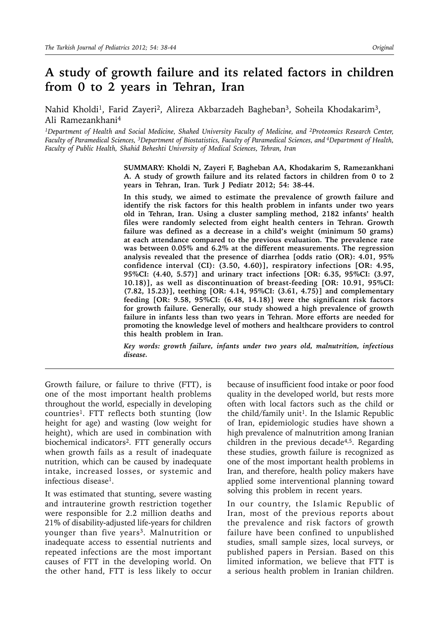# **A study of growth failure and its related factors in children from 0 to 2 years in Tehran, Iran**

Nahid Kholdi<sup>1</sup>, Farid Zayeri<sup>2</sup>, Alireza Akbarzadeh Bagheban<sup>3</sup>, Soheila Khodakarim<sup>3</sup>, Ali Ramezankhani4

*1Department of Health and Social Medicine, Shahed University Faculty of Medicine, and 2Proteomics Research Center, Faculty of Paramedical Sciences, 3Department of Biostatistics, Faculty of Paramedical Sciences, and 4Department of Health, Faculty of Public Health, Shahid Beheshti University of Medical Sciences, Tehran, Iran*

> **SUMMARY: Kholdi N, Zayeri F, Bagheban AA, Khodakarim S, Ramezankhani A. A study of growth failure and its related factors in children from 0 to 2 years in Tehran, Iran. Turk J Pediatr 2012; 54: 38-44.**

> **In this study, we aimed to estimate the prevalence of growth failure and identify the risk factors for this health problem in infants under two years old in Tehran, Iran. Using a cluster sampling method, 2182 infants' health files were randomly selected from eight health centers in Tehran. Growth failure was defined as a decrease in a child's weight (minimum 50 grams) at each attendance compared to the previous evaluation. The prevalence rate was between 0.05% and 6.2% at the different measurements. The regression analysis revealed that the presence of diarrhea [odds ratio (OR): 4.01, 95% confidence interval (CI): (3.50, 4.60)], respiratory infections [OR: 4.95, 95%CI: (4.40, 5.57)] and urinary tract infections [OR: 6.35, 95%CI: (3.97, 10.18)], as well as discontinuation of breast-feeding [OR: 10.91, 95%CI: (7.82, 15.23)], teething [OR: 4.14, 95%CI: (3.61, 4.75)] and complementary feeding [OR: 9.58, 95%CI: (6.48, 14.18)] were the significant risk factors for growth failure. Generally, our study showed a high prevalence of growth failure in infants less than two years in Tehran. More efforts are needed for promoting the knowledge level of mothers and healthcare providers to control this health problem in Iran.**

> *Key words: growth failure, infants under two years old, malnutrition, infectious disease.*

Growth failure, or failure to thrive (FTT), is one of the most important health problems throughout the world, especially in developing countries<sup>1</sup>. FTT reflects both stunting (low height for age) and wasting (low weight for height), which are used in combination with biochemical indicators2. FTT generally occurs when growth fails as a result of inadequate nutrition, which can be caused by inadequate intake, increased losses, or systemic and infectious disease1.

It was estimated that stunting, severe wasting and intrauterine growth restriction together were responsible for 2.2 million deaths and 21% of disability-adjusted life-years for children younger than five years<sup>3</sup>. Malnutrition or inadequate access to essential nutrients and repeated infections are the most important causes of FTT in the developing world. On the other hand, FTT is less likely to occur

because of insufficient food intake or poor food quality in the developed world, but rests more often with local factors such as the child or the child/family unit<sup>1</sup>. In the Islamic Republic of Iran, epidemiologic studies have shown a high prevalence of malnutrition among Iranian children in the previous decade4,5. Regarding these studies, growth failure is recognized as one of the most important health problems in Iran, and therefore, health policy makers have applied some interventional planning toward solving this problem in recent years.

In our country, the Islamic Republic of Iran, most of the previous reports about the prevalence and risk factors of growth failure have been confined to unpublished studies, small sample sizes, local surveys, or published papers in Persian. Based on this limited information, we believe that FTT is a serious health problem in Iranian children.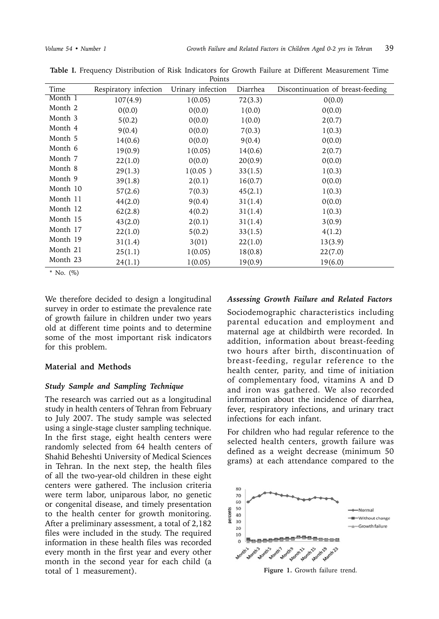|          |                       | 1 OIIILU          |          |                                   |
|----------|-----------------------|-------------------|----------|-----------------------------------|
| Time     | Respiratory infection | Urinary infection | Diarrhea | Discontinuation of breast-feeding |
| Month 1  | 107(4.9)              | 1(0.05)           | 72(3.3)  | 0(0.0)                            |
| Month 2  | 0(0.0)                | 0(0.0)            | 1(0.0)   | 0(0.0)                            |
| Month 3  | 5(0.2)                | 0(0.0)            | 1(0.0)   | 2(0.7)                            |
| Month 4  | 9(0.4)                | 0(0.0)            | 7(0.3)   | 1(0.3)                            |
| Month 5  | 14(0.6)               | 0(0.0)            | 9(0.4)   | 0(0.0)                            |
| Month 6  | 19(0.9)               | 1(0.05)           | 14(0.6)  | 2(0.7)                            |
| Month 7  | 22(1.0)               | 0(0.0)            | 20(0.9)  | 0(0.0)                            |
| Month 8  | 29(1.3)               | 1(0.05)           | 33(1.5)  | 1(0.3)                            |
| Month 9  | 39(1.8)               | 2(0.1)            | 16(0.7)  | 0(0.0)                            |
| Month 10 | 57(2.6)               | 7(0.3)            | 45(2.1)  | 1(0.3)                            |
| Month 11 | 44(2.0)               | 9(0.4)            | 31(1.4)  | 0(0.0)                            |
| Month 12 | 62(2.8)               | 4(0.2)            | 31(1.4)  | 1(0.3)                            |
| Month 15 | 43(2.0)               | 2(0.1)            | 31(1.4)  | 3(0.9)                            |
| Month 17 | 22(1.0)               | 5(0.2)            | 33(1.5)  | 4(1.2)                            |
| Month 19 | 31(1.4)               | 3(01)             | 22(1.0)  | 13(3.9)                           |
| Month 21 | 25(1.1)               | 1(0.05)           | 18(0.8)  | 22(7.0)                           |
| Month 23 | 24(1.1)               | 1(0.05)           | 19(0.9)  | 19(6.0)                           |

**Table I.** Frequency Distribution of Risk Indicators for Growth Failure at Different Measurement Time Points

\* No. (%)

We therefore decided to design a longitudinal survey in order to estimate the prevalence rate of growth failure in children under two years old at different time points and to determine some of the most important risk indicators for this problem.

### **Material and Methods**

### *Study Sample and Sampling Technique*

The research was carried out as a longitudinal study in health centers of Tehran from February to July 2007. The study sample was selected using a single-stage cluster sampling technique. In the first stage, eight health centers were randomly selected from 64 health centers of Shahid Beheshti University of Medical Sciences in Tehran. In the next step, the health files of all the two-year-old children in these eight centers were gathered. The inclusion criteria were term labor, uniparous labor, no genetic or congenital disease, and timely presentation to the health center for growth monitoring. After a preliminary assessment, a total of 2,182 files were included in the study. The required information in these health files was recorded every month in the first year and every other month in the second year for each child (a total of 1 measurement).

#### *Assessing Growth Failure and Related Factors*

Sociodemographic characteristics including parental education and employment and maternal age at childbirth were recorded. In addition, information about breast-feeding two hours after birth, discontinuation of breast-feeding, regular reference to the health center, parity, and time of initiation of complementary food, vitamins A and D and iron was gathered. We also recorded information about the incidence of diarrhea, fever, respiratory infections, and urinary tract infections for each infant.

For children who had regular reference to the selected health centers, growth failure was defined as a weight decrease (minimum 50 grams) at each attendance compared to the



**Figure 1.** Growth failure trend.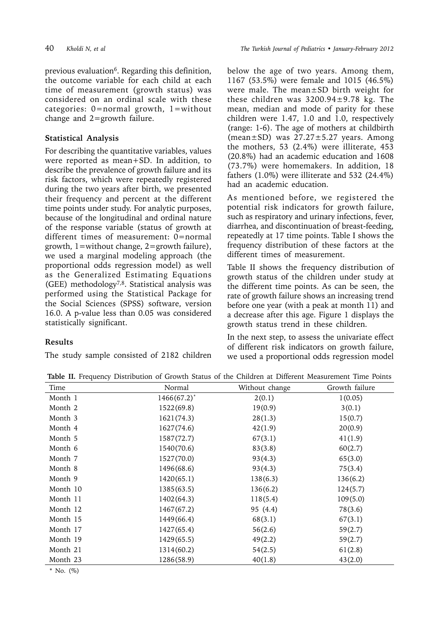previous evaluation<sup>6</sup>. Regarding this definition, the outcome variable for each child at each time of measurement (growth status) was considered on an ordinal scale with these categories: 0=normal growth, 1=without change and 2=growth failure.

### **Statistical Analysis**

For describing the quantitative variables, values were reported as mean+SD. In addition, to describe the prevalence of growth failure and its risk factors, which were repeatedly registered during the two years after birth, we presented their frequency and percent at the different time points under study. For analytic purposes, because of the longitudinal and ordinal nature of the response variable (status of growth at different times of measurement: 0=normal growth, 1=without change, 2=growth failure), we used a marginal modeling approach (the proportional odds regression model) as well as the Generalized Estimating Equations (GEE) methodology7,8. Statistical analysis was performed using the Statistical Package for the Social Sciences (SPSS) software, version 16.0. A p-value less than 0.05 was considered statistically significant.

## **Results**

The study sample consisted of 2182 children

below the age of two years. Among them, 1167 (53.5%) were female and 1015 (46.5%) were male. The mean±SD birth weight for these children was  $3200.94 \pm 9.78$  kg. The mean, median and mode of parity for these children were 1.47, 1.0 and 1.0, respectively (range: 1-6). The age of mothers at childbirth (mean $\pm$ SD) was 27.27 $\pm$ 5.27 years. Among the mothers, 53 (2.4%) were illiterate, 453 (20.8%) had an academic education and 1608 (73.7%) were homemakers. In addition, 18 fathers (1.0%) were illiterate and 532 (24.4%) had an academic education.

As mentioned before, we registered the potential risk indicators for growth failure, such as respiratory and urinary infections, fever, diarrhea, and discontinuation of breast-feeding, repeatedly at 17 time points. Table I shows the frequency distribution of these factors at the different times of measurement.

Table II shows the frequency distribution of growth status of the children under study at the different time points. As can be seen, the rate of growth failure shows an increasing trend before one year (with a peak at month 11) and a decrease after this age. Figure 1 displays the growth status trend in these children.

In the next step, to assess the univariate effect of different risk indicators on growth failure, we used a proportional odds regression model

| Time     | Normal         | Without change | Growth failure |
|----------|----------------|----------------|----------------|
| Month 1  | $1466(67.2)^*$ | 2(0.1)         | 1(0.05)        |
| Month 2  | 1522(69.8)     | 19(0.9)        | 3(0.1)         |
| Month 3  | 1621(74.3)     | 28(1.3)        | 15(0.7)        |
| Month 4  | 1627(74.6)     | 42(1.9)        | 20(0.9)        |
| Month 5  | 1587(72.7)     | 67(3.1)        | 41(1.9)        |
| Month 6  | 1540(70.6)     | 83(3.8)        | 60(2.7)        |
| Month 7  | 1527(70.0)     | 93(4.3)        | 65(3.0)        |
| Month 8  | 1496(68.6)     | 93(4.3)        | 75(3.4)        |
| Month 9  | 1420(65.1)     | 138(6.3)       | 136(6.2)       |
| Month 10 | 1385(63.5)     | 136(6.2)       | 124(5.7)       |
| Month 11 | 1402(64.3)     | 118(5.4)       | 109(5.0)       |
| Month 12 | 1467(67.2)     | 95 (4.4)       | 78(3.6)        |
| Month 15 | 1449(66.4)     | 68(3.1)        | 67(3.1)        |
| Month 17 | 1427(65.4)     | 56(2.6)        | 59(2.7)        |
| Month 19 | 1429(65.5)     | 49(2.2)        | 59(2.7)        |
| Month 21 | 1314(60.2)     | 54(2.5)        | 61(2.8)        |
| Month 23 | 1286(58.9)     | 40(1.8)        | 43(2.0)        |
|          |                |                |                |

**Table II.** Frequency Distribution of Growth Status of the Children at Different Measurement Time Points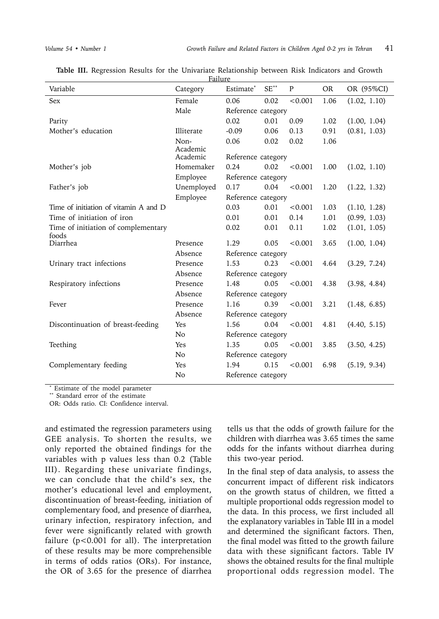| Variable                              | Category             | Estimate*          | $SE^{**}$          | $\mathbf{P}$ | <b>OR</b> | OR (95%CI)   |  |  |
|---------------------------------------|----------------------|--------------------|--------------------|--------------|-----------|--------------|--|--|
| <b>Sex</b>                            | Female               | 0.06               | 0.02               | < 0.001      | 1.06      | (1.02, 1.10) |  |  |
|                                       | Male                 |                    | Reference category |              |           |              |  |  |
| Parity                                |                      | 0.02               | 0.01               | 0.09         | 1.02      | (1.00, 1.04) |  |  |
| Mother's education                    | Illiterate           | $-0.09$            | 0.06               | 0.13         | 0.91      | (0.81, 1.03) |  |  |
|                                       | Non-                 | 0.06               | 0.02               | 0.02         | 1.06      |              |  |  |
|                                       | Academic<br>Academic | Reference category |                    |              |           |              |  |  |
| Mother's job                          | Homemaker            | 0.24               | 0.02               | < 0.001      | 1.00      | (1.02, 1.10) |  |  |
|                                       | Employee             | Reference category |                    |              |           |              |  |  |
| Father's job                          | Unemployed           | 0.17               | 0.04               | < 0.001      | 1.20      | (1.22, 1.32) |  |  |
|                                       | Employee             | Reference category |                    |              |           |              |  |  |
| Time of initiation of vitamin A and D |                      | 0.03               | 0.01               | < 0.001      | 1.03      | (1.10, 1.28) |  |  |
| Time of initiation of iron            |                      | 0.01               | 0.01               | 0.14         | 1.01      | (0.99, 1.03) |  |  |
| Time of initiation of complementary   |                      | 0.02               | 0.01               | 0.11         | 1.02      | (1.01, 1.05) |  |  |
| foods<br>Diarrhea                     | Presence             | 1.29               | 0.05               | < 0.001      | 3.65      | (1.00, 1.04) |  |  |
|                                       | Absence              | Reference category |                    |              |           |              |  |  |
| Urinary tract infections              | Presence             | 1.53               | 0.23               | < 0.001      | 4.64      | (3.29, 7.24) |  |  |
|                                       | Absence              | Reference category |                    |              |           |              |  |  |
| Respiratory infections                | Presence             | 1.48               | 0.05               | < 0.001      | 4.38      | (3.98, 4.84) |  |  |
|                                       | Absence              | Reference category |                    |              |           |              |  |  |
| Fever                                 | Presence             | 1.16               | 0.39               | < 0.001      | 3.21      | (1.48, 6.85) |  |  |
|                                       | Absence              | Reference category |                    |              |           |              |  |  |
| Discontinuation of breast-feeding     | Yes                  | 1.56               | 0.04               | < 0.001      | 4.81      | (4.40, 5.15) |  |  |
|                                       | N <sub>o</sub>       | Reference category |                    |              |           |              |  |  |
| Teething                              | Yes                  | 1.35               | 0.05               | < 0.001      | 3.85      | (3.50, 4.25) |  |  |
| N <sub>o</sub>                        |                      | Reference category |                    |              |           |              |  |  |
| Complementary feeding                 | Yes                  | 1.94               | 0.15               | < 0.001      | 6.98      | (5.19, 9.34) |  |  |
|                                       | N <sub>o</sub>       | Reference category |                    |              |           |              |  |  |

**Table III.** Regression Results for the Univariate Relationship between Risk Indicators and Growth Failure

\* Estimate of the model parameter \*\* Standard error of the estimate

OR: Odds ratio. CI: Confidence interval.

and estimated the regression parameters using GEE analysis. To shorten the results, we only reported the obtained findings for the variables with p values less than 0.2 (Table III). Regarding these univariate findings, we can conclude that the child's sex, the mother's educational level and employment, discontinuation of breast-feeding, initiation of complementary food, and presence of diarrhea, urinary infection, respiratory infection, and fever were significantly related with growth failure (p<0.001 for all). The interpretation of these results may be more comprehensible in terms of odds ratios (ORs). For instance, the OR of 3.65 for the presence of diarrhea

tells us that the odds of growth failure for the children with diarrhea was 3.65 times the same odds for the infants without diarrhea during this two-year period.

In the final step of data analysis, to assess the concurrent impact of different risk indicators on the growth status of children, we fitted a multiple proportional odds regression model to the data. In this process, we first included all the explanatory variables in Table III in a model and determined the significant factors. Then, the final model was fitted to the growth failure data with these significant factors. Table IV shows the obtained results for the final multiple proportional odds regression model. The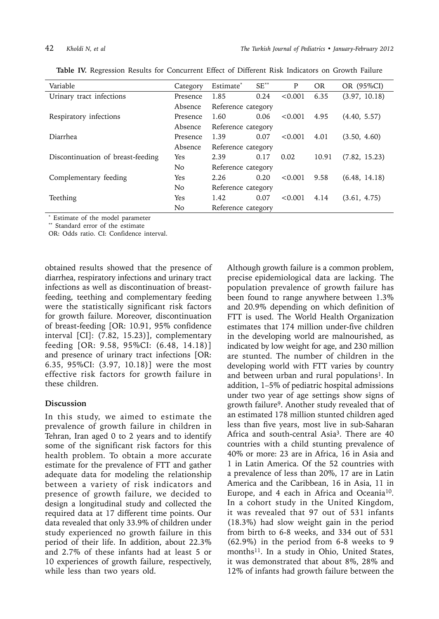| Variable                          | Category       | Estimate <sup>*</sup> | $SE^{**}$ | P       | <b>OR</b> | OR (95%CI)    |  |
|-----------------------------------|----------------|-----------------------|-----------|---------|-----------|---------------|--|
| Urinary tract infections          | Presence       | 1.85                  | 0.24      | < 0.001 | 6.35      | (3.97, 10.18) |  |
| Absence                           |                | Reference category    |           |         |           |               |  |
| Respiratory infections            | Presence       | 1.60                  | 0.06      | < 0.001 | 4.95      | (4.40, 5.57)  |  |
|                                   | Absence        | Reference category    |           |         |           |               |  |
| <b>Diarrhea</b>                   | Presence       | 1.39                  | 0.07      | < 0.001 | 4.01      | (3.50, 4.60)  |  |
|                                   | Absence        | Reference category    |           |         |           |               |  |
| Discontinuation of breast-feeding | <b>Yes</b>     | 2.39                  | 0.17      | 0.02    | 10.91     | (7.82, 15.23) |  |
|                                   | N <sub>o</sub> | Reference category    |           |         |           |               |  |
| Complementary feeding             | Yes            | 2.26                  | 0.20      | < 0.001 | 9.58      | (6.48, 14.18) |  |
|                                   | N <sub>o</sub> | Reference category    |           |         |           |               |  |
| Teething                          | Yes            | 1.42                  | 0.07      | < 0.001 | 4.14      | (3.61, 4.75)  |  |
|                                   | No             | Reference category    |           |         |           |               |  |

**Table IV.** Regression Results for Concurrent Effect of Different Risk Indicators on Growth Failure

\* Estimate of the model parameter

\*\* Standard error of the estimate

OR: Odds ratio. CI: Confidence interval.

obtained results showed that the presence of diarrhea, respiratory infections and urinary tract infections as well as discontinuation of breastfeeding, teething and complementary feeding were the statistically significant risk factors for growth failure. Moreover, discontinuation of breast-feeding [OR: 10.91, 95% confidence interval [CI]: (7.82, 15.23)], complementary feeding [OR: 9.58, 95%CI: (6.48, 14.18)] and presence of urinary tract infections [OR: 6.35, 95%CI: (3.97, 10.18)] were the most effective risk factors for growth failure in these children.

### **Discussion**

In this study, we aimed to estimate the prevalence of growth failure in children in Tehran, Iran aged 0 to 2 years and to identify some of the significant risk factors for this health problem. To obtain a more accurate estimate for the prevalence of FTT and gather adequate data for modeling the relationship between a variety of risk indicators and presence of growth failure, we decided to design a longitudinal study and collected the required data at 17 different time points. Our data revealed that only 33.9% of children under study experienced no growth failure in this period of their life. In addition, about 22.3% and 2.7% of these infants had at least 5 or 10 experiences of growth failure, respectively, while less than two years old.

Although growth failure is a common problem, precise epidemiological data are lacking. The population prevalence of growth failure has been found to range anywhere between 1.3% and 20.9% depending on which definition of FTT is used. The World Health Organization estimates that 174 million under-five children in the developing world are malnourished, as indicated by low weight for age, and 230 million are stunted. The number of children in the developing world with FTT varies by country and between urban and rural populations<sup>1</sup>. In addition, 1–5% of pediatric hospital admissions under two year of age settings show signs of growth failure9. Another study revealed that of an estimated 178 million stunted children aged less than five years, most live in sub-Saharan Africa and south-central Asia3. There are 40 countries with a child stunting prevalence of 40% or more: 23 are in Africa, 16 in Asia and 1 in Latin America. Of the 52 countries with a prevalence of less than 20%, 17 are in Latin America and the Caribbean, 16 in Asia, 11 in Europe, and 4 each in Africa and Oceania<sup>10</sup>. In a cohort study in the United Kingdom, it was revealed that 97 out of 531 infants (18.3%) had slow weight gain in the period from birth to 6-8 weeks, and 334 out of 531 (62.9%) in the period from 6-8 weeks to 9 months<sup>11</sup>. In a study in Ohio, United States, it was demonstrated that about 8%, 28% and 12% of infants had growth failure between the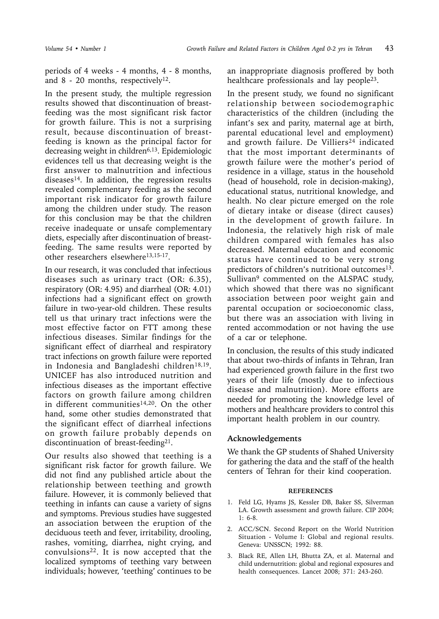periods of 4 weeks - 4 months, 4 - 8 months, and  $8 - 20$  months, respectively<sup>12</sup>.

In the present study, the multiple regression results showed that discontinuation of breastfeeding was the most significant risk factor for growth failure. This is not a surprising result, because discontinuation of breastfeeding is known as the principal factor for decreasing weight in children $6,13$ . Epidemiologic evidences tell us that decreasing weight is the first answer to malnutrition and infectious diseases<sup>14</sup>. In addition, the regression results revealed complementary feeding as the second important risk indicator for growth failure among the children under study. The reason for this conclusion may be that the children receive inadequate or unsafe complementary diets, especially after discontinuation of breastfeeding. The same results were reported by other researchers elsewhere<sup>13,15-17</sup>.

In our research, it was concluded that infectious diseases such as urinary tract (OR: 6.35), respiratory (OR: 4.95) and diarrheal (OR: 4.01) infections had a significant effect on growth failure in two-year-old children. These results tell us that urinary tract infections were the most effective factor on FTT among these infectious diseases. Similar findings for the significant effect of diarrheal and respiratory tract infections on growth failure were reported in Indonesia and Bangladeshi children<sup>18,19</sup>. UNICEF has also introduced nutrition and infectious diseases as the important effective factors on growth failure among children in different communities<sup>14,20</sup>. On the other hand, some other studies demonstrated that the significant effect of diarrheal infections on growth failure probably depends on discontinuation of breast-feeding<sup>21</sup>.

Our results also showed that teething is a significant risk factor for growth failure. We did not find any published article about the relationship between teething and growth failure. However, it is commonly believed that teething in infants can cause a variety of signs and symptoms. Previous studies have suggested an association between the eruption of the deciduous teeth and fever, irritability, drooling, rashes, vomiting, diarrhea, night crying, and convulsions22. It is now accepted that the localized symptoms of teething vary between individuals; however, 'teething' continues to be

an inappropriate diagnosis proffered by both healthcare professionals and lay people<sup>23</sup>.

In the present study, we found no significant relationship between sociodemographic characteristics of the children (including the infant's sex and parity, maternal age at birth, parental educational level and employment) and growth failure. De Villiers<sup>24</sup> indicated that the most important determinants of growth failure were the mother's period of residence in a village, status in the household (head of household, role in decision-making), educational status, nutritional knowledge, and health. No clear picture emerged on the role of dietary intake or disease (direct causes) in the development of growth failure. In Indonesia, the relatively high risk of male children compared with females has also decreased. Maternal education and economic status have continued to be very strong predictors of children's nutritional outcomes<sup>13</sup>. Sullivan<sup>9</sup> commented on the ALSPAC study, which showed that there was no significant association between poor weight gain and parental occupation or socioeconomic class, but there was an association with living in rented accommodation or not having the use of a car or telephone.

In conclusion, the results of this study indicated that about two-thirds of infants in Tehran, Iran had experienced growth failure in the first two years of their life (mostly due to infectious disease and malnutrition). More efforts are needed for promoting the knowledge level of mothers and healthcare providers to control this important health problem in our country.

### **Acknowledgements**

We thank the GP students of Shahed University for gathering the data and the staff of the health centers of Tehran for their kind cooperation.

### **REFERENCES**

- 1. Feld LG, Hyams JS, Kessler DB, Baker SS, Silverman LA. Growth assessment and growth failure. CIP 2004; 1: 6-8.
- 2. ACC/SCN. Second Report on the World Nutrition Situation - Volume I: Global and regional results. Geneva: UNSSCN; 1992: 88.
- 3. Black RE, Allen LH, Bhutta ZA, et al. Maternal and child undernutrition: global and regional exposures and health consequences. Lancet 2008; 371: 243-260.